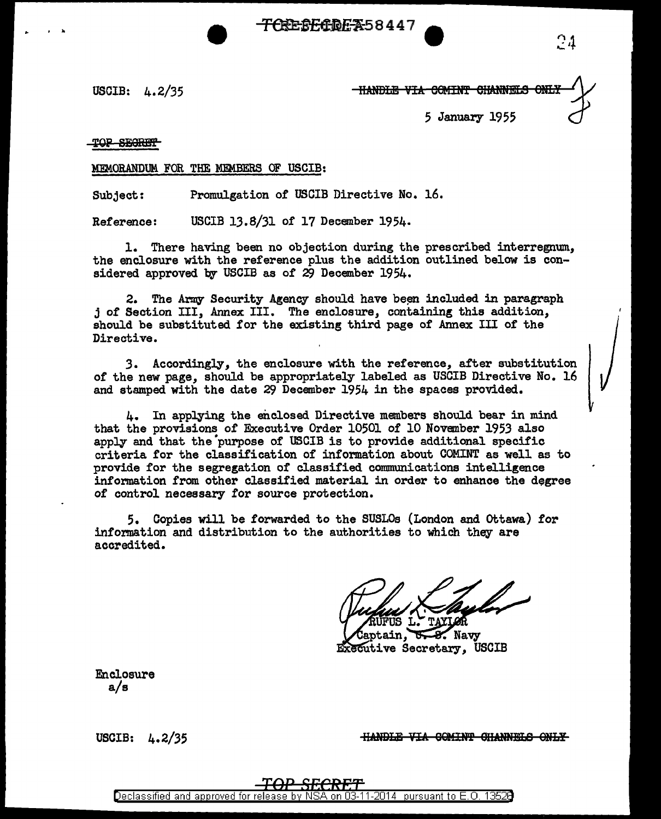<del>(RESECTOR X</del>58447

USCIB: 4. 2/35

- HANDLE VIA COMINT CHANNELS *5* January 1955

TOP SECRET

' ..

MEMORANDUM. FOR THE MEMBERS OF USCIB:

Subject: Promulgation of USCIB Directive No. 16.

Reference: USCIB 13.8/31 of 17 December 1954.

l. There having been no objection during the prescribed interregnum, the enclosure with the reference plus the addition outlined below is considered approved by USCIB as of 29 December 1954.

2. The Army Security Agency should have been included in paragraph j of Section III, Annex III. The enclosure, containing this addition, should be substituted for the existing third page of Annex III of the Directive.

3. Accordingly, the enclosure with the reference, after substitution of the new page, should be appropriately labeled as USCIB Directive No. 16 and stamped with the date 29 December 1954 in the spaces provided..

4. In applying the enclosed Directive members should bear in mind that the provisions of Executive Order 10501 of 10 November 1953 also apply and that the purpose of USCIB is to provide additional specific criteria for the classification of information about COMINT as well as to provide for the segregation of classified conununications intelligence information from other classified material in order to enhance the degree of control necessary for source protection.

5. Copies will be forwarded to the SUSLOs (London and Ottawa) for information and distribution to the authorities to which they are accredited.

tain. **Navy Executive Secretary, USCIB** 

Enclosure a/s

USCIB: 4.2/35

**HANDLE VIA COMINT CHANNELS ONLY**